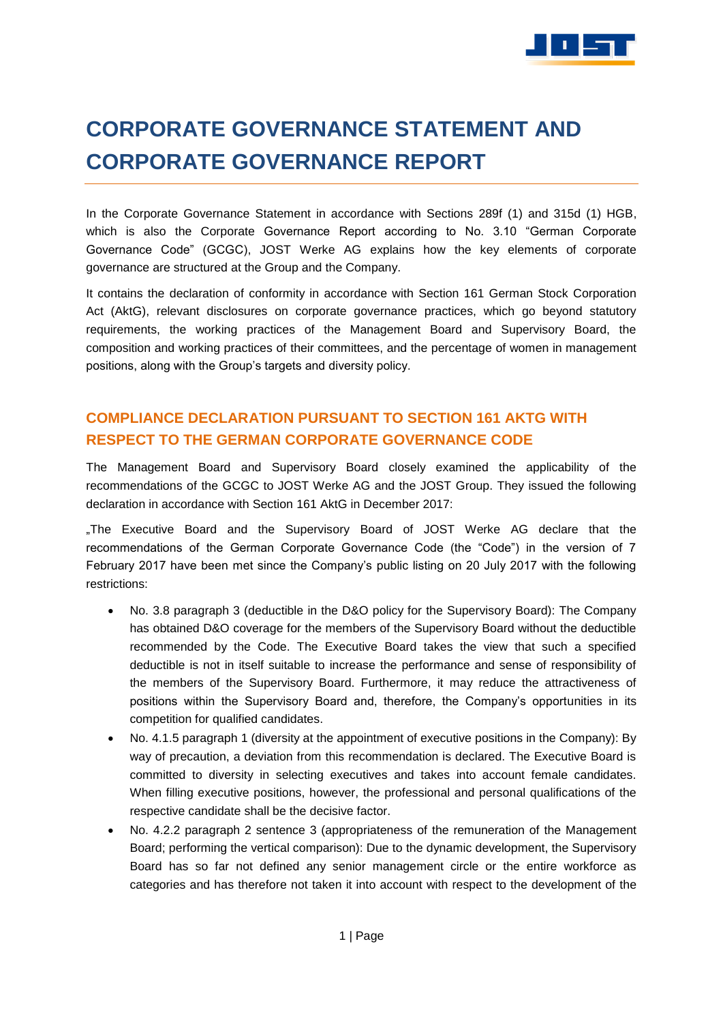

# **CORPORATE GOVERNANCE STATEMENT AND CORPORATE GOVERNANCE REPORT**

In the Corporate Governance Statement in accordance with Sections 289f (1) and 315d (1) HGB, which is also the Corporate Governance Report according to No. 3.10 "German Corporate Governance Code" (GCGC), JOST Werke AG explains how the key elements of corporate governance are structured at the Group and the Company.

It contains the declaration of conformity in accordance with Section 161 German Stock Corporation Act (AktG), relevant disclosures on corporate governance practices, which go beyond statutory requirements, the working practices of the Management Board and Supervisory Board, the composition and working practices of their committees, and the percentage of women in management positions, along with the Group's targets and diversity policy.

# **COMPLIANCE DECLARATION PURSUANT TO SECTION 161 AKTG WITH RESPECT TO THE GERMAN CORPORATE GOVERNANCE CODE**

The Management Board and Supervisory Board closely examined the applicability of the recommendations of the GCGC to JOST Werke AG and the JOST Group. They issued the following declaration in accordance with Section 161 AktG in December 2017:

"The Executive Board and the Supervisory Board of JOST Werke AG declare that the recommendations of the German Corporate Governance Code (the "Code") in the version of 7 February 2017 have been met since the Company's public listing on 20 July 2017 with the following restrictions:

- No. 3.8 paragraph 3 (deductible in the D&O policy for the Supervisory Board): The Company has obtained D&O coverage for the members of the Supervisory Board without the deductible recommended by the Code. The Executive Board takes the view that such a specified deductible is not in itself suitable to increase the performance and sense of responsibility of the members of the Supervisory Board. Furthermore, it may reduce the attractiveness of positions within the Supervisory Board and, therefore, the Company's opportunities in its competition for qualified candidates.
- No. 4.1.5 paragraph 1 (diversity at the appointment of executive positions in the Company): By way of precaution, a deviation from this recommendation is declared. The Executive Board is committed to diversity in selecting executives and takes into account female candidates. When filling executive positions, however, the professional and personal qualifications of the respective candidate shall be the decisive factor.
- No. 4.2.2 paragraph 2 sentence 3 (appropriateness of the remuneration of the Management Board; performing the vertical comparison): Due to the dynamic development, the Supervisory Board has so far not defined any senior management circle or the entire workforce as categories and has therefore not taken it into account with respect to the development of the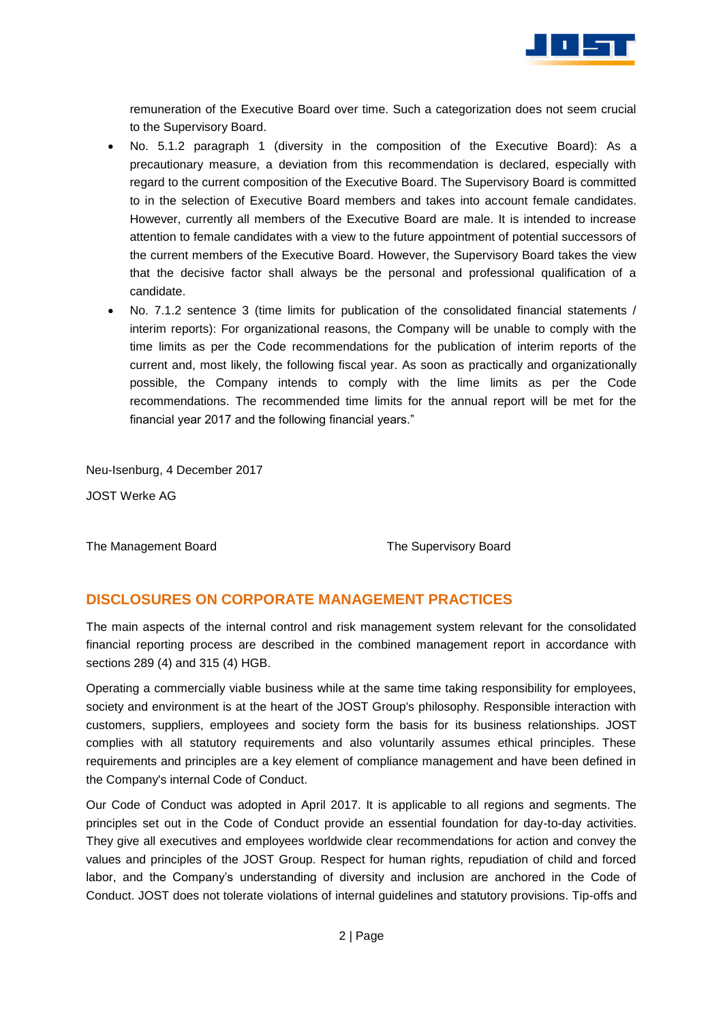

remuneration of the Executive Board over time. Such a categorization does not seem crucial to the Supervisory Board.

- No. 5.1.2 paragraph 1 (diversity in the composition of the Executive Board): As a precautionary measure, a deviation from this recommendation is declared, especially with regard to the current composition of the Executive Board. The Supervisory Board is committed to in the selection of Executive Board members and takes into account female candidates. However, currently all members of the Executive Board are male. It is intended to increase attention to female candidates with a view to the future appointment of potential successors of the current members of the Executive Board. However, the Supervisory Board takes the view that the decisive factor shall always be the personal and professional qualification of a candidate.
- No. 7.1.2 sentence 3 (time limits for publication of the consolidated financial statements / interim reports): For organizational reasons, the Company will be unable to comply with the time limits as per the Code recommendations for the publication of interim reports of the current and, most likely, the following fiscal year. As soon as practically and organizationally possible, the Company intends to comply with the lime limits as per the Code recommendations. The recommended time limits for the annual report will be met for the financial year 2017 and the following financial years."

Neu-Isenburg, 4 December 2017

JOST Werke AG

The Management Board The Supervisory Board

## **DISCLOSURES ON CORPORATE MANAGEMENT PRACTICES**

The main aspects of the internal control and risk management system relevant for the consolidated financial reporting process are described in the combined management report in accordance with sections 289 (4) and 315 (4) HGB.

Operating a commercially viable business while at the same time taking responsibility for employees, society and environment is at the heart of the JOST Group's philosophy. Responsible interaction with customers, suppliers, employees and society form the basis for its business relationships. JOST complies with all statutory requirements and also voluntarily assumes ethical principles. These requirements and principles are a key element of compliance management and have been defined in the Company's internal Code of Conduct.

Our Code of Conduct was adopted in April 2017. It is applicable to all regions and segments. The principles set out in the Code of Conduct provide an essential foundation for day-to-day activities. They give all executives and employees worldwide clear recommendations for action and convey the values and principles of the JOST Group. Respect for human rights, repudiation of child and forced labor, and the Company's understanding of diversity and inclusion are anchored in the Code of Conduct. JOST does not tolerate violations of internal guidelines and statutory provisions. Tip-offs and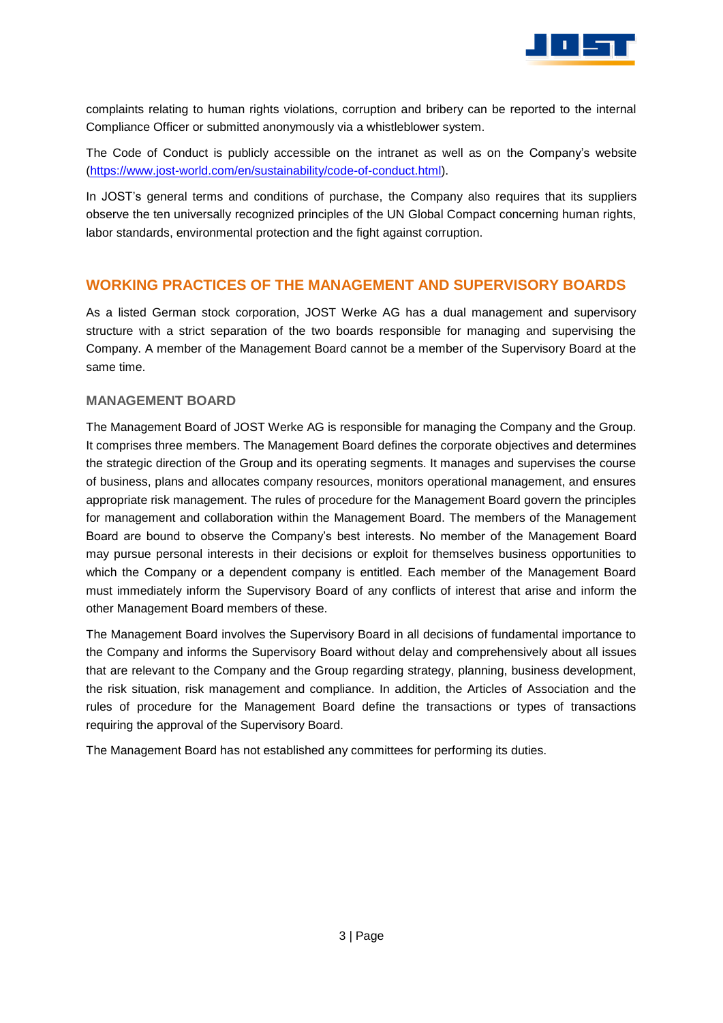

complaints relating to human rights violations, corruption and bribery can be reported to the internal Compliance Officer or submitted anonymously via a whistleblower system.

The Code of Conduct is publicly accessible on the intranet as well as on the Company's website [\(https://www.jost-world.com/en/sustainability/code-of-conduct.html\)](https://www.jost-world.com/en/sustainability/code-of-conduct.html).

In JOST's general terms and conditions of purchase, the Company also requires that its suppliers observe the ten universally recognized principles of the UN Global Compact concerning human rights, labor standards, environmental protection and the fight against corruption.

## **WORKING PRACTICES OF THE MANAGEMENT AND SUPERVISORY BOARDS**

As a listed German stock corporation, JOST Werke AG has a dual management and supervisory structure with a strict separation of the two boards responsible for managing and supervising the Company. A member of the Management Board cannot be a member of the Supervisory Board at the same time.

#### **MANAGEMENT BOARD**

The Management Board of JOST Werke AG is responsible for managing the Company and the Group. It comprises three members. The Management Board defines the corporate objectives and determines the strategic direction of the Group and its operating segments. It manages and supervises the course of business, plans and allocates company resources, monitors operational management, and ensures appropriate risk management. The rules of procedure for the Management Board govern the principles for management and collaboration within the Management Board. The members of the Management Board are bound to observe the Company's best interests. No member of the Management Board may pursue personal interests in their decisions or exploit for themselves business opportunities to which the Company or a dependent company is entitled. Each member of the Management Board must immediately inform the Supervisory Board of any conflicts of interest that arise and inform the other Management Board members of these.

The Management Board involves the Supervisory Board in all decisions of fundamental importance to the Company and informs the Supervisory Board without delay and comprehensively about all issues that are relevant to the Company and the Group regarding strategy, planning, business development, the risk situation, risk management and compliance. In addition, the Articles of Association and the rules of procedure for the Management Board define the transactions or types of transactions requiring the approval of the Supervisory Board.

The Management Board has not established any committees for performing its duties.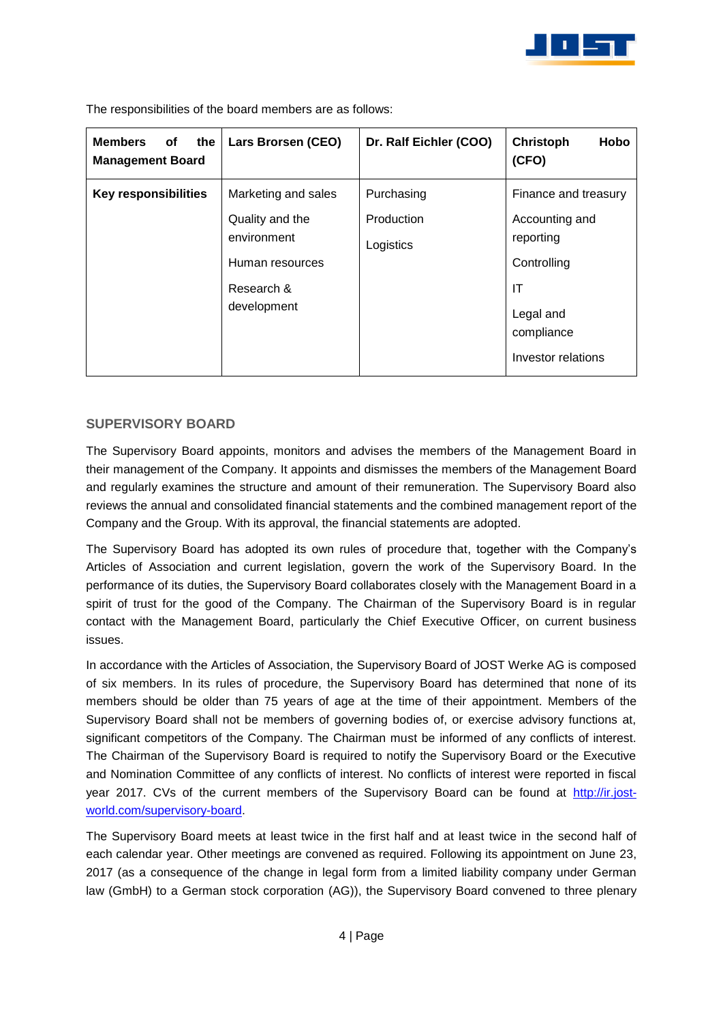

| <b>Members</b><br>of<br>the<br><b>Management Board</b> | Lars Brorsen (CEO)                                                             | Dr. Ralf Eichler (COO)  | Christoph<br>Hobo<br>(CFO)                                                                        |
|--------------------------------------------------------|--------------------------------------------------------------------------------|-------------------------|---------------------------------------------------------------------------------------------------|
| <b>Key responsibilities</b>                            | Marketing and sales                                                            | Purchasing              | Finance and treasury                                                                              |
|                                                        | Quality and the<br>environment<br>Human resources<br>Research &<br>development | Production<br>Logistics | Accounting and<br>reporting<br>Controlling<br>ΙT<br>Legal and<br>compliance<br>Investor relations |

The responsibilities of the board members are as follows:

#### **SUPERVISORY BOARD**

The Supervisory Board appoints, monitors and advises the members of the Management Board in their management of the Company. It appoints and dismisses the members of the Management Board and regularly examines the structure and amount of their remuneration. The Supervisory Board also reviews the annual and consolidated financial statements and the combined management report of the Company and the Group. With its approval, the financial statements are adopted.

The Supervisory Board has adopted its own rules of procedure that, together with the Company's Articles of Association and current legislation, govern the work of the Supervisory Board. In the performance of its duties, the Supervisory Board collaborates closely with the Management Board in a spirit of trust for the good of the Company. The Chairman of the Supervisory Board is in regular contact with the Management Board, particularly the Chief Executive Officer, on current business issues.

In accordance with the Articles of Association, the Supervisory Board of JOST Werke AG is composed of six members. In its rules of procedure, the Supervisory Board has determined that none of its members should be older than 75 years of age at the time of their appointment. Members of the Supervisory Board shall not be members of governing bodies of, or exercise advisory functions at, significant competitors of the Company. The Chairman must be informed of any conflicts of interest. The Chairman of the Supervisory Board is required to notify the Supervisory Board or the Executive and Nomination Committee of any conflicts of interest. No conflicts of interest were reported in fiscal year 2017. CVs of the current members of the Supervisory Board can be found at [http://ir.jost](http://ir.jost-world.com/supervisory-board)[world.com/supervisory-board.](http://ir.jost-world.com/supervisory-board)

The Supervisory Board meets at least twice in the first half and at least twice in the second half of each calendar year. Other meetings are convened as required. Following its appointment on June 23, 2017 (as a consequence of the change in legal form from a limited liability company under German law (GmbH) to a German stock corporation (AG)), the Supervisory Board convened to three plenary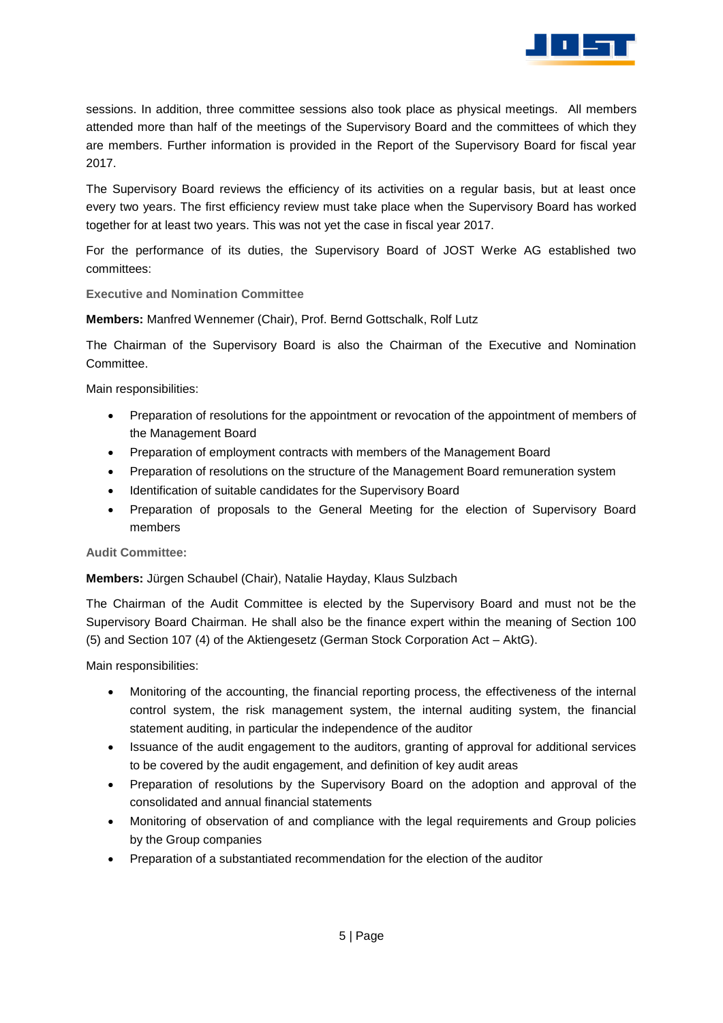

sessions. In addition, three committee sessions also took place as physical meetings. All members attended more than half of the meetings of the Supervisory Board and the committees of which they are members. Further information is provided in the Report of the Supervisory Board for fiscal year 2017.

The Supervisory Board reviews the efficiency of its activities on a regular basis, but at least once every two years. The first efficiency review must take place when the Supervisory Board has worked together for at least two years. This was not yet the case in fiscal year 2017.

For the performance of its duties, the Supervisory Board of JOST Werke AG established two committees:

**Executive and Nomination Committee**

**Members:** Manfred Wennemer (Chair), Prof. Bernd Gottschalk, Rolf Lutz

The Chairman of the Supervisory Board is also the Chairman of the Executive and Nomination Committee.

Main responsibilities:

- Preparation of resolutions for the appointment or revocation of the appointment of members of the Management Board
- Preparation of employment contracts with members of the Management Board
- Preparation of resolutions on the structure of the Management Board remuneration system
- Identification of suitable candidates for the Supervisory Board
- Preparation of proposals to the General Meeting for the election of Supervisory Board members

#### **Audit Committee:**

**Members:** Jürgen Schaubel (Chair), Natalie Hayday, Klaus Sulzbach

The Chairman of the Audit Committee is elected by the Supervisory Board and must not be the Supervisory Board Chairman. He shall also be the finance expert within the meaning of Section 100 (5) and Section 107 (4) of the Aktiengesetz (German Stock Corporation Act – AktG).

Main responsibilities:

- Monitoring of the accounting, the financial reporting process, the effectiveness of the internal control system, the risk management system, the internal auditing system, the financial statement auditing, in particular the independence of the auditor
- Issuance of the audit engagement to the auditors, granting of approval for additional services to be covered by the audit engagement, and definition of key audit areas
- Preparation of resolutions by the Supervisory Board on the adoption and approval of the consolidated and annual financial statements
- Monitoring of observation of and compliance with the legal requirements and Group policies by the Group companies
- Preparation of a substantiated recommendation for the election of the auditor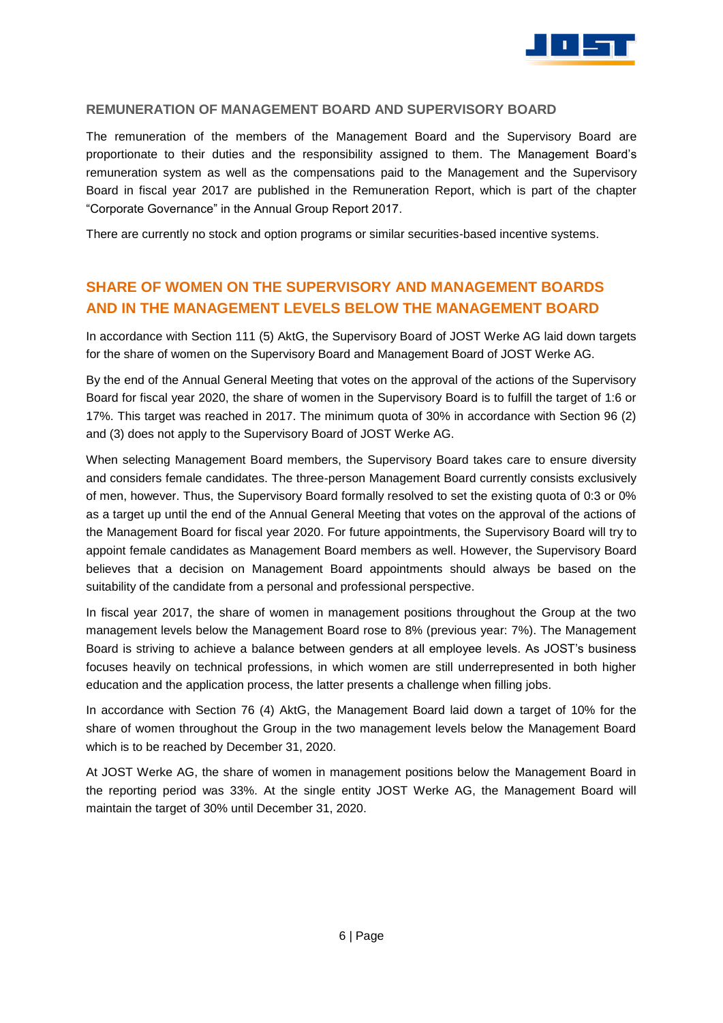

#### **REMUNERATION OF MANAGEMENT BOARD AND SUPERVISORY BOARD**

The remuneration of the members of the Management Board and the Supervisory Board are proportionate to their duties and the responsibility assigned to them. The Management Board's remuneration system as well as the compensations paid to the Management and the Supervisory Board in fiscal year 2017 are published in the Remuneration Report, which is part of the chapter "Corporate Governance" in the Annual Group Report 2017.

There are currently no stock and option programs or similar securities-based incentive systems.

## **SHARE OF WOMEN ON THE SUPERVISORY AND MANAGEMENT BOARDS AND IN THE MANAGEMENT LEVELS BELOW THE MANAGEMENT BOARD**

In accordance with Section 111 (5) AktG, the Supervisory Board of JOST Werke AG laid down targets for the share of women on the Supervisory Board and Management Board of JOST Werke AG.

By the end of the Annual General Meeting that votes on the approval of the actions of the Supervisory Board for fiscal year 2020, the share of women in the Supervisory Board is to fulfill the target of 1:6 or 17%. This target was reached in 2017. The minimum quota of 30% in accordance with Section 96 (2) and (3) does not apply to the Supervisory Board of JOST Werke AG.

When selecting Management Board members, the Supervisory Board takes care to ensure diversity and considers female candidates. The three-person Management Board currently consists exclusively of men, however. Thus, the Supervisory Board formally resolved to set the existing quota of 0:3 or 0% as a target up until the end of the Annual General Meeting that votes on the approval of the actions of the Management Board for fiscal year 2020. For future appointments, the Supervisory Board will try to appoint female candidates as Management Board members as well. However, the Supervisory Board believes that a decision on Management Board appointments should always be based on the suitability of the candidate from a personal and professional perspective.

In fiscal year 2017, the share of women in management positions throughout the Group at the two management levels below the Management Board rose to 8% (previous year: 7%). The Management Board is striving to achieve a balance between genders at all employee levels. As JOST's business focuses heavily on technical professions, in which women are still underrepresented in both higher education and the application process, the latter presents a challenge when filling jobs.

In accordance with Section 76 (4) AktG, the Management Board laid down a target of 10% for the share of women throughout the Group in the two management levels below the Management Board which is to be reached by December 31, 2020.

At JOST Werke AG, the share of women in management positions below the Management Board in the reporting period was 33%. At the single entity JOST Werke AG, the Management Board will maintain the target of 30% until December 31, 2020.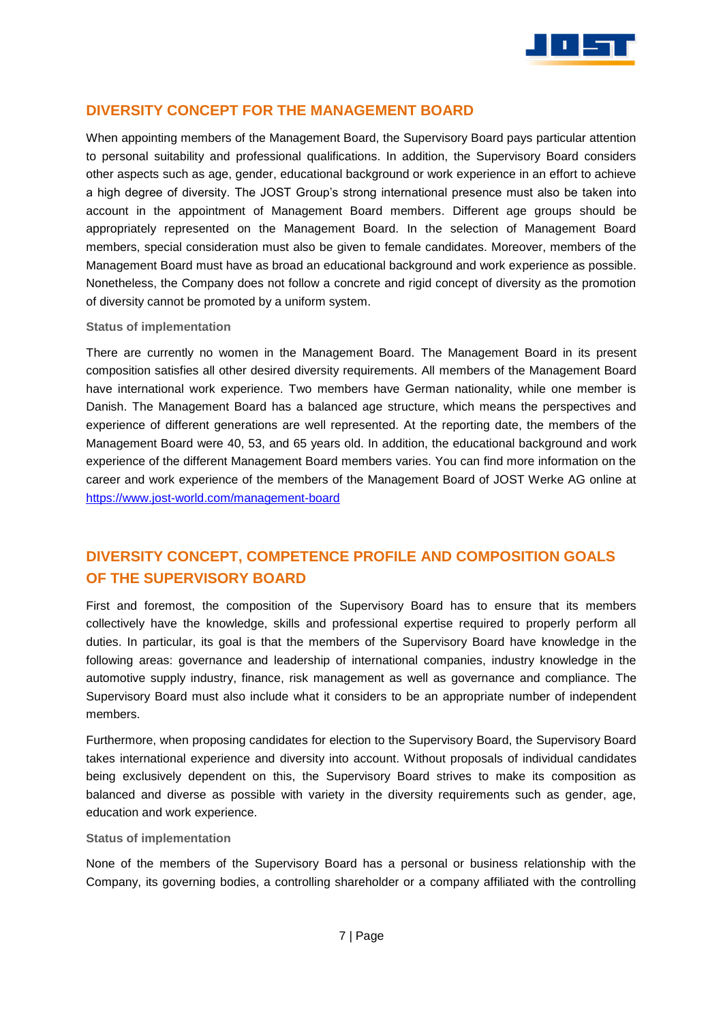

## **DIVERSITY CONCEPT FOR THE MANAGEMENT BOARD**

When appointing members of the Management Board, the Supervisory Board pays particular attention to personal suitability and professional qualifications. In addition, the Supervisory Board considers other aspects such as age, gender, educational background or work experience in an effort to achieve a high degree of diversity. The JOST Group's strong international presence must also be taken into account in the appointment of Management Board members. Different age groups should be appropriately represented on the Management Board. In the selection of Management Board members, special consideration must also be given to female candidates. Moreover, members of the Management Board must have as broad an educational background and work experience as possible. Nonetheless, the Company does not follow a concrete and rigid concept of diversity as the promotion of diversity cannot be promoted by a uniform system.

#### **Status of implementation**

There are currently no women in the Management Board. The Management Board in its present composition satisfies all other desired diversity requirements. All members of the Management Board have international work experience. Two members have German nationality, while one member is Danish. The Management Board has a balanced age structure, which means the perspectives and experience of different generations are well represented. At the reporting date, the members of the Management Board were 40, 53, and 65 years old. In addition, the educational background and work experience of the different Management Board members varies. You can find more information on the career and work experience of the members of the Management Board of JOST Werke AG online at <https://www.jost-world.com/management-board>

# **DIVERSITY CONCEPT, COMPETENCE PROFILE AND COMPOSITION GOALS OF THE SUPERVISORY BOARD**

First and foremost, the composition of the Supervisory Board has to ensure that its members collectively have the knowledge, skills and professional expertise required to properly perform all duties. In particular, its goal is that the members of the Supervisory Board have knowledge in the following areas: governance and leadership of international companies, industry knowledge in the automotive supply industry, finance, risk management as well as governance and compliance. The Supervisory Board must also include what it considers to be an appropriate number of independent members.

Furthermore, when proposing candidates for election to the Supervisory Board, the Supervisory Board takes international experience and diversity into account. Without proposals of individual candidates being exclusively dependent on this, the Supervisory Board strives to make its composition as balanced and diverse as possible with variety in the diversity requirements such as gender, age, education and work experience.

#### **Status of implementation**

None of the members of the Supervisory Board has a personal or business relationship with the Company, its governing bodies, a controlling shareholder or a company affiliated with the controlling